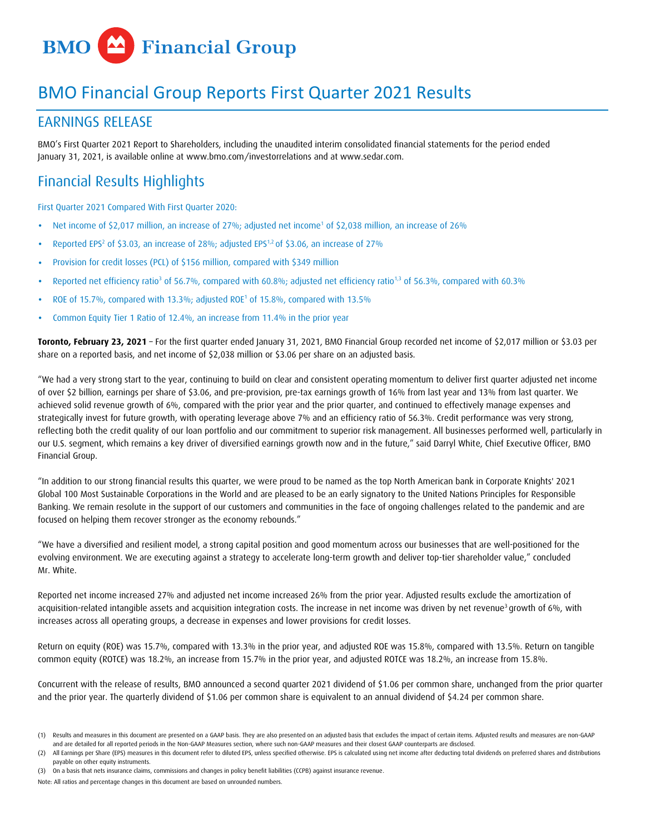

# BMO Financial Group Reports First Quarter 2021 Results

# EARNINGS RELEASE

BMO's First Quarter 2021 Report to Shareholders, including the unaudited interim consolidated financial statements for the period ended January 31, 2021, is available online at www.bmo.com/investorrelations and at [www.sedar.com.](http://www.sedar.com/)

# Financial Results Highlights

First Quarter 2021 Compared With First Quarter 2020:

- Net income of \$2,017 million, an increase of 27%; adjusted net income<sup>1</sup> of \$2,038 million, an increase of 26%
- Reported EPS<sup>2</sup> of \$3.03, an increase of 28%; adjusted EPS<sup>1,2</sup> of \$3.06, an increase of 27%
- Provision for credit losses (PCL) of \$156 million, compared with \$349 million
- Reported net efficiency ratio<sup>3</sup> of 56.7%, compared with 60.8%; adjusted net efficiency ratio<sup>1,3</sup> of 56.3%, compared with 60.3%
- ROE of 15.7%, compared with 13.3%; adjusted ROE<sup>1</sup> of 15.8%, compared with 13.5%
- Common Equity Tier 1 Ratio of 12.4%, an increase from 11.4% in the prior year

**Toronto, February 23, 2021** – For the first quarter ended January 31, 2021, BMO Financial Group recorded net income of \$2,017 million or \$3.03 per share on a reported basis, and net income of \$2,038 million or \$3.06 per share on an adjusted basis.

"We had a very strong start to the year, continuing to build on clear and consistent operating momentum to deliver first quarter adjusted net income of over \$2 billion, earnings per share of \$3.06, and pre-provision, pre-tax earnings growth of 16% from last year and 13% from last quarter. We achieved solid revenue growth of 6%, compared with the prior year and the prior quarter, and continued to effectively manage expenses and strategically invest for future growth, with operating leverage above 7% and an efficiency ratio of 56.3%. Credit performance was very strong, reflecting both the credit quality of our loan portfolio and our commitment to superior risk management. All businesses performed well, particularly in our U.S. segment, which remains a key driver of diversified earnings growth now and in the future," said Darryl White, Chief Executive Officer, BMO Financial Group.

"In addition to our strong financial results this quarter, we were proud to be named as the top North American bank in Corporate Knights' 2021 Global 100 Most Sustainable Corporations in the World and are pleased to be an early signatory to the United Nations Principles for Responsible Banking. We remain resolute in the support of our customers and communities in the face of ongoing challenges related to the pandemic and are focused on helping them recover stronger as the economy rebounds."

"We have a diversified and resilient model, a strong capital position and good momentum across our businesses that are well-positioned for the evolving environment. We are executing against a strategy to accelerate long-term growth and deliver top-tier shareholder value," concluded Mr. White.

Reported net income increased 27% and adjusted net income increased 26% from the prior year. Adjusted results exclude the amortization of acquisition-related intangible assets and acquisition integration costs. The increase in net income was driven by net revenue<sup>3</sup> growth of 6%, with increases across all operating groups, a decrease in expenses and lower provisions for credit losses.

Return on equity (ROE) was 15.7%, compared with 13.3% in the prior year, and adjusted ROE was 15.8%, compared with 13.5%. Return on tangible common equity (ROTCE) was 18.2%, an increase from 15.7% in the prior year, and adjusted ROTCE was 18.2%, an increase from 15.8%.

Concurrent with the release of results, BMO announced a second quarter 2021 dividend of \$1.06 per common share, unchanged from the prior quarter and the prior year. The quarterly dividend of \$1.06 per common share is equivalent to an annual dividend of \$4.24 per common share.

<sup>(1)</sup> Results and measures in this document are presented on a GAAP basis. They are also presented on an adjusted basis that excludes the impact of certain items. Adjusted results and measures are non-GAAP and are detailed for all reported periods in the Non-GAAP Measures section, where such non-GAAP measures and their closest GAAP counterparts are disclosed.

All Earnings per Share (EPS) measures in this document refer to diluted EPS, unless specified otherwise. EPS is calculated using net income after deducting total dividends on preferred shares and distributions payable on other equity instruments.

<sup>(3)</sup> On a basis that nets insurance claims, commissions and changes in policy benefit liabilities (CCPB) against insurance revenue.

Note: All ratios and percentage changes in this document are based on unrounded numbers.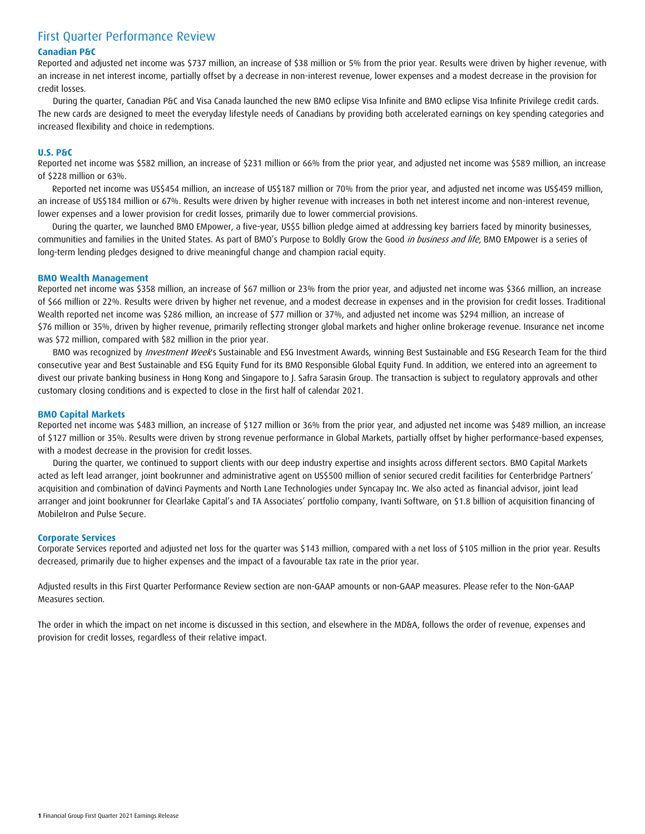# First Quarter Performance Review

#### **Canadian P&C**

Reported and adjusted net income was \$737 million, an increase of \$38 million or 5% from the prior year. Results were driven by higher revenue, with an increase in net interest income, partially offset by a decrease in non-interest revenue, lower expenses and a modest decrease in the provision for credit losses.

During the quarter, Canadian P&C and Visa Canada launched the new BMO eclipse Visa Infinite and BMO eclipse Visa Infinite Privilege credit cards. The new cards are designed to meet the everyday lifestyle needs of Canadians by providing both accelerated earnings on key spending categories and increased flexibility and choice in redemptions.

#### **U.S. P&C**

Reported net income was \$582 million, an increase of \$231 million or 66% from the prior year, and adjusted net income was \$589 million, an increase of \$228 million or 63%.

Reported net income was US\$454 million, an increase of US\$187 million or 70% from the prior year, and adjusted net income was US\$459 million, an increase of US\$184 million or 67%. Results were driven by higher revenue with increases in both net interest income and non-interest revenue, lower expenses and a lower provision for credit losses, primarily due to lower commercial provisions.

During the quarter, we launched BMO EMpower, a five-year, US\$5 billion pledge aimed at addressing key barriers faced by minority businesses, communities and families in the United States. As part of BMO's Purpose to Boldly Grow the Good in business and life, BMO [EMpower](https://our-impact.bmo.com/us/our-practices/community-reinvestment/bmo-empower/) is a series of long-term lending pledges designed to drive meaningful change and champion racial equity.

#### **BMO Wealth Management**

Reported net income was \$358 million, an increase of \$67 million or 23% from the prior year, and adjusted net income was \$366 million, an increase of \$66 million or 22%. Results were driven by higher net revenue, and a modest decrease in expenses and in the provision for credit losses. Traditional Wealth reported net income was \$286 million, an increase of \$77 million or 37%, and adjusted net income was \$294 million, an increase of \$76 million or 35%, driven by higher revenue, primarily reflecting stronger global markets and higher online brokerage revenue. Insurance net income was \$72 million, compared with \$82 million in the prior year.

BMO was recognized by *Investment Week's* Sustainable and ESG Investment Awards, winning Best Sustainable and ESG Research Team for the third consecutive year and Best Sustainable and ESG Equity Fund for its BMO Responsible Global Equity Fund. In addition, we entered into an agreement to divest our private banking business in Hong Kong and Singapore to J. Safra Sarasin Group. The transaction is subject to regulatory approvals and other customary closing conditions and is expected to close in the first half of calendar 2021.

#### **BMO Capital Markets**

Reported net income was \$483 million, an increase of \$127 million or 36% from the prior year, and adjusted net income was \$489 million, an increase of \$127 million or 35%. Results were driven by strong revenue performance in Global Markets, partially offset by higher performance-based expenses, with a modest decrease in the provision for credit losses.

During the quarter, we continued to support clients with our deep industry expertise and insights across different sectors. BMO Capital Markets acted as left lead arranger, joint bookrunner and administrative agent on US\$500 million of senior secured credit facilities for Centerbridge Partners' acquisition and combination of daVinci Payments and North Lane Technologies under Syncapay Inc. We also acted as financial advisor, joint lead arranger and joint bookrunner for Clearlake Capital's and TA Associates' portfolio company, Ivanti Software, on \$1.8 billion of acquisition financing of MobileIron and Pulse Secure.

#### **Corporate Services**

Corporate Services reported and adjusted net loss for the quarter was \$143 million, compared with a net loss of \$105 million in the prior year. Results decreased, primarily due to higher expenses and the impact of a favourable tax rate in the prior year.

Adjusted results in this First Quarter Performance Review section are non-GAAP amounts or non-GAAP measures. Please refer to the Non-GAAP Measures section.

The order in which the impact on net income is discussed in this section, and elsewhere in the MD&A, follows the order of revenue, expenses and provision for credit losses, regardless of their relative impact.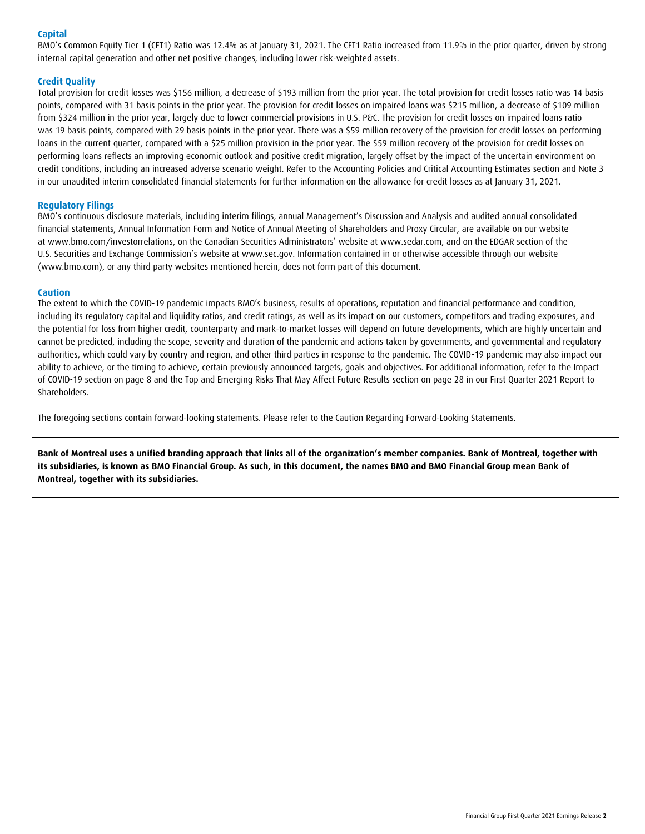#### **Capital**

BMO's Common Equity Tier 1 (CET1) Ratio was 12.4% as at January 31, 2021. The CET1 Ratio increased from 11.9% in the prior quarter, driven by strong internal capital generation and other net positive changes, including lower risk-weighted assets.

#### **Credit Quality**

Total provision for credit losses was \$156 million, a decrease of \$193 million from the prior year. The total provision for credit losses ratio was 14 basis points, compared with 31 basis points in the prior year. The provision for credit losses on impaired loans was \$215 million, a decrease of \$109 million from \$324 million in the prior year, largely due to lower commercial provisions in U.S. P&C. The provision for credit losses on impaired loans ratio was 19 basis points, compared with 29 basis points in the prior year. There was a \$59 million recovery of the provision for credit losses on performing loans in the current quarter, compared with a \$25 million provision in the prior year. The \$59 million recovery of the provision for credit losses on performing loans reflects an improving economic outlook and positive credit migration, largely offset by the impact of the uncertain environment on credit conditions, including an increased adverse scenario weight. Refer to the Accounting Policies and Critical Accounting Estimates section and Note 3 in our unaudited interim consolidated financial statements for further information on the allowance for credit losses as at January 31, 2021.

#### **Regulatory Filings**

BMO's continuous disclosure materials, including interim filings, annual Management's Discussion and Analysis and audited annual consolidated financial statements, Annual Information Form and Notice of Annual Meeting of Shareholders and Proxy Circular, are available on our website at www.bmo.com/investorrelations, on the Canadian Securities Administrators' website at www.sedar.com, and on the EDGAR section of the U.S. Securities and Exchange Commission's website at [www.sec.gov.](http://www.sec.gov/) Information contained in or otherwise accessible through our website [\(www.bmo.com\)](http://www.bmo.com/), or any third party websites mentioned herein, does not form part of this document.

#### **Caution**

The extent to which the COVID-19 pandemic impacts BMO's business, results of operations, reputation and financial performance and condition, including its regulatory capital and liquidity ratios, and credit ratings, as well as its impact on our customers, competitors and trading exposures, and the potential for loss from higher credit, counterparty and mark-to-market losses will depend on future developments, which are highly uncertain and cannot be predicted, including the scope, severity and duration of the pandemic and actions taken by governments, and governmental and regulatory authorities, which could vary by country and region, and other third parties in response to the pandemic. The COVID-19 pandemic may also impact our ability to achieve, or the timing to achieve, certain previously announced targets, goals and objectives. For additional information, refer to the Impact of COVID-19 section on page 8 and the Top and Emerging Risks That May Affect Future Results section on page 28 in our First Quarter 2021 Report to Shareholders.

The foregoing sections contain forward-looking statements. Please refer to the Caution Regarding Forward-Looking Statements.

**Bank of Montreal uses a unified branding approach that links all of the organization's member companies. Bank of Montreal, together with its subsidiaries, is known as BMO Financial Group. As such, in this document, the names BMO and BMO Financial Group mean Bank of Montreal, together with its subsidiaries.**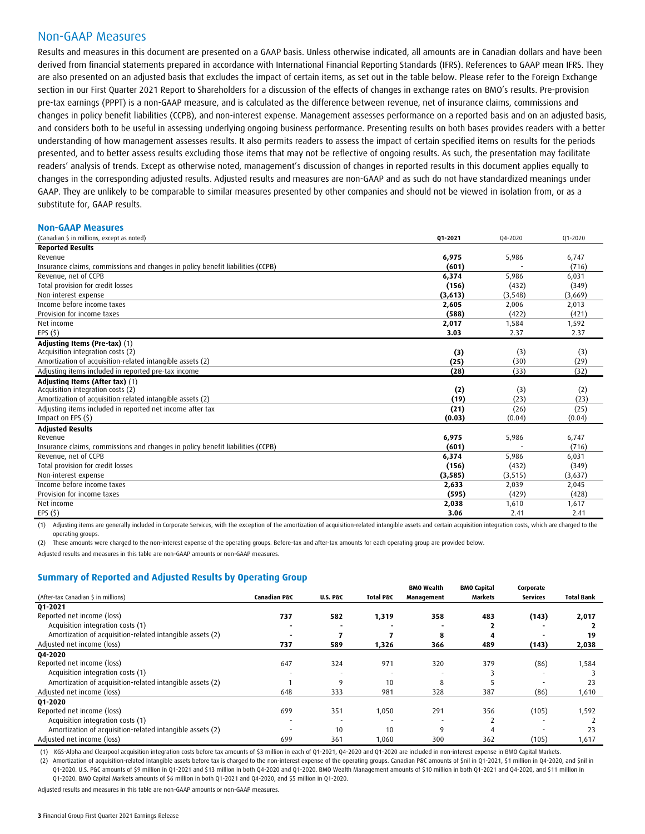### Non-GAAP Measures

Results and measures in this document are presented on a GAAP basis. Unless otherwise indicated, all amounts are in Canadian dollars and have been derived from financial statements prepared in accordance with International Financial Reporting Standards (IFRS). References to GAAP mean IFRS. They are also presented on an adjusted basis that excludes the impact of certain items, as set out in the table below. Please refer to the Foreign Exchange section in our First Quarter 2021 Report to Shareholders for a discussion of the effects of changes in exchange rates on BMO's results. Pre-provision pre-tax earnings (PPPT) is a non-GAAP measure, and is calculated as the difference between revenue, net of insurance claims, commissions and changes in policy benefit liabilities (CCPB), and non-interest expense. Management assesses performance on a reported basis and on an adjusted basis, and considers both to be useful in assessing underlying ongoing business performance. Presenting results on both bases provides readers with a better understanding of how management assesses results. It also permits readers to assess the impact of certain specified items on results for the periods presented, and to better assess results excluding those items that may not be reflective of ongoing results. As such, the presentation may facilitate readers' analysis of trends. Except as otherwise noted, management's discussion of changes in reported results in this document applies equally to changes in the corresponding adjusted results. Adjusted results and measures are non-GAAP and as such do not have standardized meanings under GAAP. They are unlikely to be comparable to similar measures presented by other companies and should not be viewed in isolation from, or as a substitute for, GAAP results.

#### **Non-GAAP Measures** (Canadian \$ in millions, except as noted) **Q1-2021** Q4-2020 Q1-2020 **Reported Results**  Revenue **6,975** 5,986 6,747 Insurance claims, commissions and changes in policy benefit liabilities (CCPB) **(601)** - (716) Revenue, net of CCPB **6,374** 5,986 6,031 Total provision for credit losses **(156)** (432) (349) Non-interest expense **(3,613)** (3,548) (3,669) Income before income taxes **2,605** 2,006 2,013 Provision for income taxes **(588)** (422) (421) Net income **2,017** 1,584 1,592 EPS (\$) **3.03** 2.37 2.37 **Adjusting Items (Pre-tax)** (1) **Contract Contract Contract Contract Contract Contract Contract Contract Contract Contract Contract Contract Contract Contract Contract Contract Contract Contract Contract Contract Contract** Acquisition integration costs (2) **(3)** (3) (3) Amortization of acquisition-related intangible assets (2) **(25)** (30) (29) Adjusting items included in reported pre-tax income **(28)** (33) (32) **Adjusting Items (After tax)** (1) Acquisition integration costs (2) **(2)** (3) (2) Amortization of acquisition-related intangible assets (2) **(19)** (23) (23) Adjusting items included in reported net income after tax **(21)** (26) (25) Impact on EPS (\$) **(0.03)** (0.04) (0.04) **Adjusted Results** Revenue **6,975** 5,986 6,747 Insurance claims, commissions and changes in policy benefit liabilities (CCPB) **(601)** (716) Revenue, net of CCPB **6,374** 5,986 6,031 Total provision for credit losses **(156)** (432) (349) Non-interest expense **(3,585)** (3,515) (3,637) Income before income taxes **2,633** 2,039 2,045 Provision for income taxes **(595)** (429) (428) Net income **2,038** 1,610 1,617 EPS (\$) **3.06** 2.41 2.41

(1) Adjusting items are generally included in Corporate Services, with the exception of the amortization of acquisition-related intangible assets and certain acquisition integration costs, which are charged to the operating groups.

(2) These amounts were charged to the non-interest expense of the operating groups. Before-tax and after-tax amounts for each operating group are provided below.

Adjusted results and measures in this table are non-GAAP amounts or non-GAAP measures.

#### **Summary of Reported and Adjusted Results by Operating Group**

|                                                           |              |                     |           | <b>BMO Wealth</b> | <b>BMO Capital</b> | Corporate       |                   |
|-----------------------------------------------------------|--------------|---------------------|-----------|-------------------|--------------------|-----------------|-------------------|
| (After-tax Canadian \$ in millions)                       | Canadian P&C | <b>U.S. P&amp;C</b> | Total P&C | Management        | Markets            | <b>Services</b> | <b>Total Bank</b> |
| 01-2021                                                   |              |                     |           |                   |                    |                 |                   |
| Reported net income (loss)                                | 737          | 582                 | 1,319     | 358               | 483                | (143)           | 2,017             |
| Acquisition integration costs (1)                         |              |                     |           |                   |                    |                 |                   |
| Amortization of acquisition-related intangible assets (2) |              |                     |           | 8                 |                    |                 | 19                |
| Adjusted net income (loss)                                | 737          | 589                 | 1,326     | 366               | 489                | (143)           | 2,038             |
| 04-2020                                                   |              |                     |           |                   |                    |                 |                   |
| Reported net income (loss)                                | 647          | 324                 | 971       | 320               | 379                | (86)            | 1,584             |
| Acquisition integration costs (1)                         |              |                     |           |                   |                    |                 |                   |
| Amortization of acquisition-related intangible assets (2) |              | 9                   | 10        | 8                 |                    |                 | 23                |
| Adjusted net income (loss)                                | 648          | 333                 | 981       | 328               | 387                | (86)            | 1,610             |
| 01-2020                                                   |              |                     |           |                   |                    |                 |                   |
| Reported net income (loss)                                | 699          | 351                 | 1,050     | 291               | 356                | (105)           | 1,592             |
| Acquisition integration costs (1)                         |              |                     |           |                   |                    |                 |                   |
| Amortization of acquisition-related intangible assets (2) |              | 10                  | 10        | 9                 | 4                  |                 | 23                |
| Adjusted net income (loss)                                | 699          | 361                 | 1,060     | 300               | 362                | (105)           | 1,617             |

(1) KGS-Alpha and Clearpool acquisition integration costs before tax amounts of \$3 million in each of Q1-2021, Q4-2020 and Q1-2020 are included in non-interest expense in BMO Capital Markets. (2) Amortization of acquisition-related intangible assets before tax is charged to the non-interest expense of the operating groups. Canadian P&C amounts of \$nil in Q1-2021, \$1 million in Q4-2020, and \$nil in Q1-2020. U.S. P&C amounts of \$9 million in Q1-2021 and \$13 million in both Q4-2020 and Q1-2020. BMO Wealth Management amounts of \$10 million in both Q1-2021 and Q4-2020, and \$11 million in Q1-2020. BMO Capital Markets amounts of \$6 million in both Q1-2021 and Q4-2020, and \$5 million in Q1-2020.

Adjusted results and measures in this table are non-GAAP amounts or non-GAAP measures.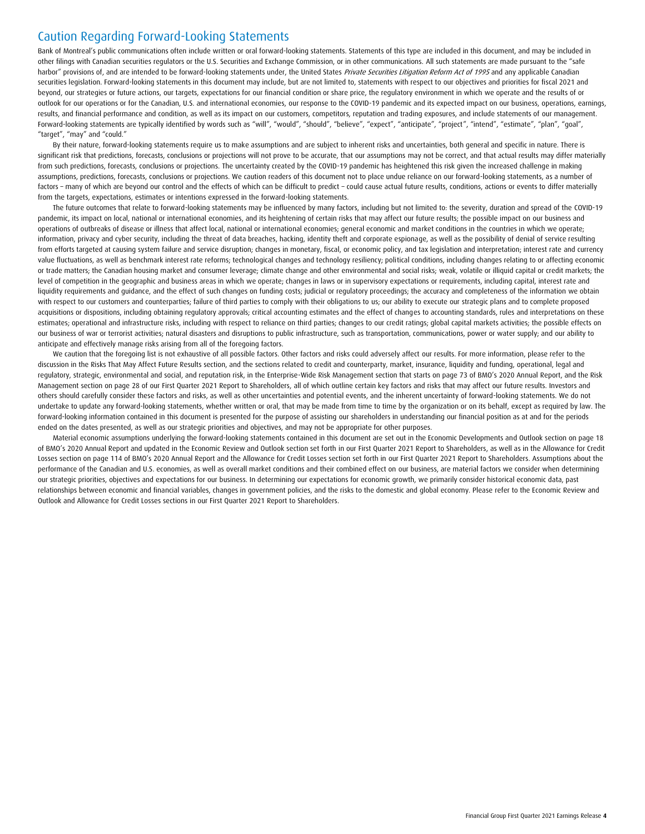# Caution Regarding Forward-Looking Statements

Bank of Montreal's public communications often include written or oral forward-looking statements. Statements of this type are included in this document, and may be included in other filings with Canadian securities regulators or the U.S. Securities and Exchange Commission, or in other communications. All such statements are made pursuant to the "safe harbor" provisions of, and are intended to be forward-looking statements under, the United States Private Securities Litigation Reform Act of 1995 and any applicable Canadian securities legislation. Forward-looking statements in this document may include, but are not limited to, statements with respect to our objectives and priorities for fiscal 2021 and beyond, our strategies or future actions, our targets, expectations for our financial condition or share price, the regulatory environment in which we operate and the results of or outlook for our operations or for the Canadian, U.S. and international economies, our response to the COVID-19 pandemic and its expected impact on our business, operations, earnings, results, and financial performance and condition, as well as its impact on our customers, competitors, reputation and trading exposures, and include statements of our management. Forward-looking statements are typically identified by words such as "will", "would", "should", "believe", "axpect", "anticipate", "project", "intend", "estimate", "plan", "goal", "target", "may" and "could."

By their nature, forward-looking statements require us to make assumptions and are subject to inherent risks and uncertainties, both general and specific in nature. There is significant risk that predictions, forecasts, conclusions or projections will not prove to be accurate, that our assumptions may not be correct, and that actual results may differ materially from such predictions, forecasts, conclusions or projections. The uncertainty created by the COVID-19 pandemic has heightened this risk given the increased challenge in making assumptions, predictions, forecasts, conclusions or projections. We caution readers of this document not to place undue reliance on our forward-looking statements, as a number of factors – many of which are beyond our control and the effects of which can be difficult to predict – could cause actual future results, conditions, actions or events to differ materially from the targets, expectations, estimates or intentions expressed in the forward-looking statements.

The future outcomes that relate to forward-looking statements may be influenced by many factors, including but not limited to: the severity, duration and spread of the COVID-19 pandemic, its impact on local, national or international economies, and its heightening of certain risks that may affect our future results; the possible impact on our business and operations of outbreaks of disease or illness that affect local, national or international economies; general economic and market conditions in the countries in which we operate; information, privacy and cyber security, including the threat of data breaches, hacking, identity theft and corporate espionage, as well as the possibility of denial of service resulting from efforts targeted at causing system failure and service disruption; changes in monetary, fiscal, or economic policy, and tax legislation and interpretation; interest rate and currency value fluctuations, as well as benchmark interest rate reforms; technological changes and technology resiliency; political conditions, including changes relating to or affecting economic or trade matters; the Canadian housing market and consumer leverage; climate change and other environmental and social risks; weak, volatile or illiquid capital or credit markets; the level of competition in the qeographic and business areas in which we operate; changes in laws or in supervisory expectations or requirements, including capital, interest rate and liquidity requirements and guidance, and the effect of such changes on funding costs; judicial or regulatory proceedings; the accuracy and completeness of the information we obtain with respect to our customers and counterparties; failure of third parties to comply with their obligations to us; our ability to execute our strategic plans and to complete proposed acquisitions or dispositions, including obtaining regulatory approvals; critical accounting estimates and the effect of changes to accounting standards, rules and interpretations on these estimates; operational and infrastructure risks, including with respect to reliance on third parties; changes to our credit ratings; global capital markets activities; the possible effects on our business of war or terrorist activities; natural disasters and disruptions to public infrastructure, such as transportation, communications, power or water supply; and our ability to anticipate and effectively manage risks arising from all of the foregoing factors.

We caution that the foregoing list is not exhaustive of all possible factors. Other factors and risks could adversely affect our results. For more information, please refer to the discussion in the Risks That May Affect Future Results section, and the sections related to credit and counterparty, market, insurance, liquidity and funding, operational, legal and regulatory, strategic, environmental and social, and reputation risk, in the Enterprise-Wide Risk Management section that starts on page 73 of BMO's 2020 Annual Report, and the Risk Management section on page 28 of our First Quarter 2021 Report to Shareholders, all of which outline certain key factors and risks that may affect our future results. Investors and others should carefully consider these factors and risks, as well as other uncertainties and potential events, and the inherent uncertainty of forward-looking statements. We do not undertake to update any forward-looking statements, whether written or oral, that may be made from time to time by the organization or on its behalf, except as required by law. The forward-looking information contained in this document is presented for the purpose of assisting our shareholders in understanding our financial position as at and for the periods ended on the dates presented, as well as our strategic priorities and objectives, and may not be appropriate for other purposes.

Material economic assumptions underlying the forward-looking statements contained in this document are set out in the Economic Developments and Outlook section on page 18 of BMO's 2020 Annual Report and updated in the Economic Review and Outlook section set forth in our First Quarter 2021 Report to Shareholders, as well as in the Allowance for Credit Losses section on page 114 of BMO's 2020 Annual Report and the Allowance for Credit Losses section set forth in our First Quarter 2021 Report to Shareholders. Assumptions about the performance of the Canadian and U.S. economies, as well as overall market conditions and their combined effect on our business, are material factors we consider when determining our strategic priorities, objectives and expectations for our business. In determining our expectations for economic growth, we primarily consider historical economic data, past relationships between economic and financial variables, changes in government policies, and the risks to the domestic and global economy. Please refer to the Economic Review and Outlook and Allowance for Credit Losses sections in our First Quarter 2021 Report to Shareholders.